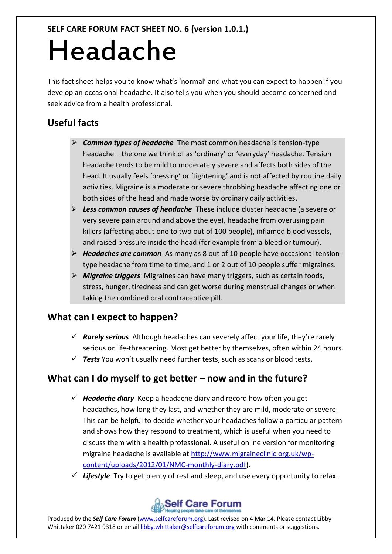# Headache

This fact sheet helps you to know what's 'normal' and what you can expect to happen if you develop an occasional headache. It also tells you when you should become concerned and seek advice from a health professional.

# **Useful facts**

- *Common types of headache* The most common headache is tension-type headache – the one we think of as 'ordinary' or 'everyday' headache. Tension headache tends to be mild to moderately severe and affects both sides of the head. It usually feels 'pressing' or 'tightening' and is not affected by routine daily activities. Migraine is a moderate or severe throbbing headache affecting one or both sides of the head and made worse by ordinary daily activities.
- *Less common causes of headache* These include cluster headache (a severe or very severe pain around and above the eye), headache from overusing pain killers (affecting about one to two out of 100 people), inflamed blood vessels, and raised pressure inside the head (for example from a bleed or tumour).
- *Headaches are common* As many as 8 out of 10 people have occasional tensiontype headache from time to time, and 1 or 2 out of 10 people suffer migraines.
- *Migraine triggers* Migraines can have many triggers, such as certain foods, stress, hunger, tiredness and can get worse during menstrual changes or when taking the combined oral contraceptive pill.

## **What can I expect to happen?**

- *Rarely serious* Although headaches can severely affect your life, they're rarely serious or life-threatening. Most get better by themselves, often within 24 hours.
- *Tests* You won't usually need further tests, such as scans or blood tests.

## **What can I do myself to get better – now and in the future?**

- $\checkmark$  Headache diary Keep a headache diary and record how often you get headaches, how long they last, and whether they are mild, moderate or severe. This can be helpful to decide whether your headaches follow a particular pattern and shows how they respond to treatment, which is useful when you need to discuss them with a health professional. A useful online version for monitoring migraine headache is available at [http://www.migraineclinic.org.uk/wp](http://www.migraineclinic.org.uk/wp-content/uploads/2012/01/NMC-monthly-diary.pdf)[content/uploads/2012/01/NMC-monthly-diary.pdf\)](http://www.migraineclinic.org.uk/wp-content/uploads/2012/01/NMC-monthly-diary.pdf).
- *Lifestyle* Try to get plenty of rest and sleep, and use every opportunity to relax.



Produced by the *Self Care Forum* [\(www.selfcareforum.org\)](http://www.selfcareforum.org/). Last revised on 4 Mar 14. Please contact Libby Whittaker 020 7421 9318 or emai[l libby.whittaker@selfcareforum.org](mailto:libby.whittaker@selfcareforum.org) with comments or suggestions.